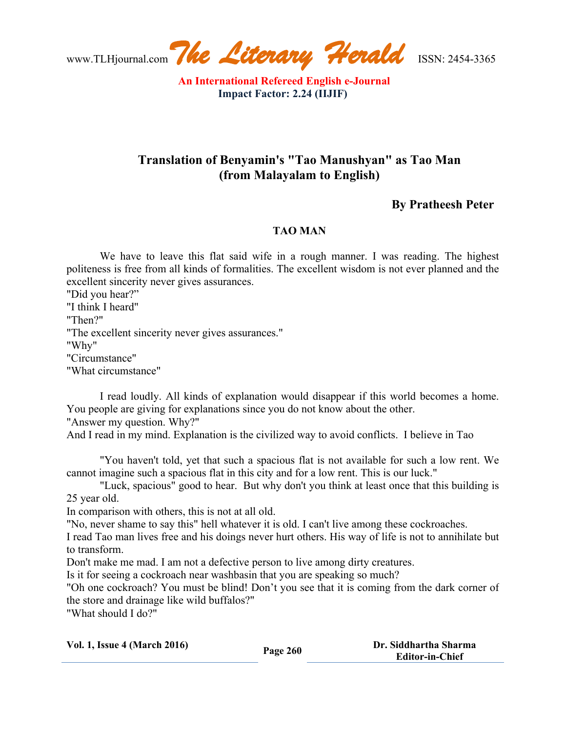www.TLHjournal.com*The Literary Herald*ISSN: 2454-3365

**An International Refereed English e-Journal Impact Factor: 2.24 (IIJIF)**

## **Translation of Benyamin's "Tao Manushyan" as Tao Man (from Malayalam to English)**

## **By Pratheesh Peter**

## **TAO MAN**

We have to leave this flat said wife in a rough manner. I was reading. The highest politeness is free from all kinds of formalities. The excellent wisdom is not ever planned and the excellent sincerity never gives assurances.

"Did you hear?" "I think I heard" "Then?" "The excellent sincerity never gives assurances." "Why" "Circumstance" "What circumstance"

I read loudly. All kinds of explanation would disappear if this world becomes a home. You people are giving for explanations since you do not know about the other. "Answer my question. Why?"

And I read in my mind. Explanation is the civilized way to avoid conflicts. I believe in Tao

"You haven't told, yet that such a spacious flat is not available for such a low rent. We cannot imagine such a spacious flat in this city and for a low rent. This is our luck."

"Luck, spacious" good to hear. But why don't you think at least once that this building is 25 year old.

In comparison with others, this is not at all old.

"No, never shame to say this" hell whatever it is old. I can't live among these cockroaches.

I read Tao man lives free and his doings never hurt others. His way of life is not to annihilate but to transform.

Don't make me mad. I am not a defective person to live among dirty creatures.

Is it for seeing a cockroach near washbasin that you are speaking so much?

"Oh one cockroach? You must be blind! Don't you see that it is coming from the dark corner of the store and drainage like wild buffalos?"

"What should I do?"

| <b>Vol. 1, Issue 4 (March 2016)</b> | Page 260 | Dr. Siddhartha Sharma  |
|-------------------------------------|----------|------------------------|
|                                     |          | <b>Editor-in-Chief</b> |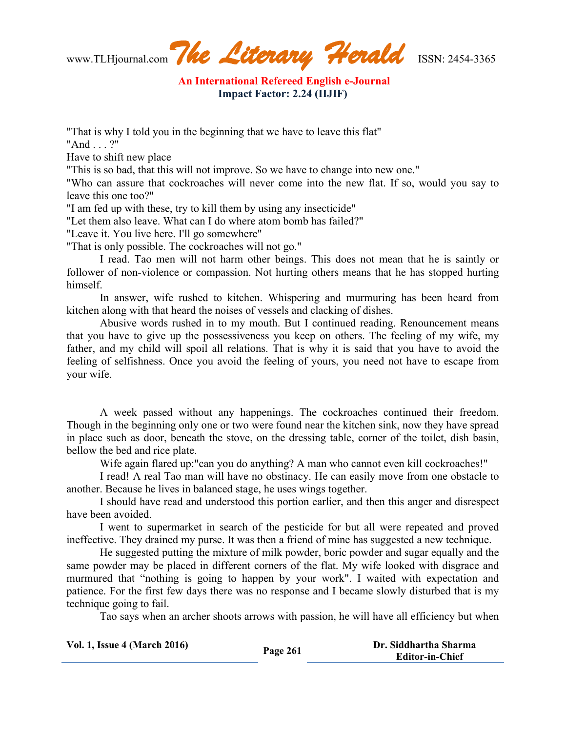www.TLHjournal.com*The Literary Herald*ISSN: 2454-3365

**An International Refereed English e-Journal Impact Factor: 2.24 (IIJIF)**

"That is why I told you in the beginning that we have to leave this flat"

"And . . . ?"

Have to shift new place

"This is so bad, that this will not improve. So we have to change into new one."

"Who can assure that cockroaches will never come into the new flat. If so, would you say to leave this one too?"

"I am fed up with these, try to kill them by using any insecticide"

"Let them also leave. What can I do where atom bomb has failed?"

"Leave it. You live here. I'll go somewhere"

"That is only possible. The cockroaches will not go."

I read. Tao men will not harm other beings. This does not mean that he is saintly or follower of non-violence or compassion. Not hurting others means that he has stopped hurting himself.

In answer, wife rushed to kitchen. Whispering and murmuring has been heard from kitchen along with that heard the noises of vessels and clacking of dishes.

Abusive words rushed in to my mouth. But I continued reading. Renouncement means that you have to give up the possessiveness you keep on others. The feeling of my wife, my father, and my child will spoil all relations. That is why it is said that you have to avoid the feeling of selfishness. Once you avoid the feeling of yours, you need not have to escape from your wife.

A week passed without any happenings. The cockroaches continued their freedom. Though in the beginning only one or two were found near the kitchen sink, now they have spread in place such as door, beneath the stove, on the dressing table, corner of the toilet, dish basin, bellow the bed and rice plate.

Wife again flared up: "can you do anything? A man who cannot even kill cockroaches!"

I read! A real Tao man will have no obstinacy. He can easily move from one obstacle to another. Because he lives in balanced stage, he uses wings together.

I should have read and understood this portion earlier, and then this anger and disrespect have been avoided.

I went to supermarket in search of the pesticide for but all were repeated and proved ineffective. They drained my purse. It was then a friend of mine has suggested a new technique.

He suggested putting the mixture of milk powder, boric powder and sugar equally and the same powder may be placed in different corners of the flat. My wife looked with disgrace and murmured that "nothing is going to happen by your work". I waited with expectation and patience. For the first few days there was no response and I became slowly disturbed that is my technique going to fail.

Tao says when an archer shoots arrows with passion, he will have all efficiency but when

| <b>Vol. 1, Issue 4 (March 2016)</b> | Page 261 | Dr. Siddhartha Sharma  |
|-------------------------------------|----------|------------------------|
|                                     |          | <b>Editor-in-Chief</b> |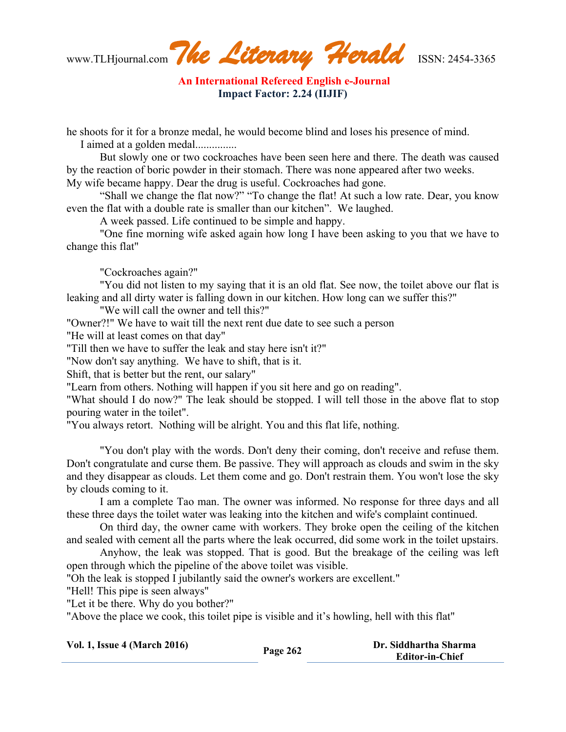www.TLHjournal.com*The Literary Herald*ISSN: 2454-3365

**An International Refereed English e-Journal Impact Factor: 2.24 (IIJIF)**

he shoots for it for a bronze medal, he would become blind and loses his presence of mind.

I aimed at a golden medal...............

But slowly one or two cockroaches have been seen here and there. The death was caused by the reaction of boric powder in their stomach. There was none appeared after two weeks. My wife became happy. Dear the drug is useful. Cockroaches had gone.

"Shall we change the flat now?" "To change the flat! At such a low rate. Dear, you know even the flat with a double rate is smaller than our kitchen". We laughed.

A week passed. Life continued to be simple and happy.

"One fine morning wife asked again how long I have been asking to you that we have to change this flat"

"Cockroaches again?"

"You did not listen to my saying that it is an old flat. See now, the toilet above our flat is leaking and all dirty water is falling down in our kitchen. How long can we suffer this?"

"We will call the owner and tell this?"

"Owner?!" We have to wait till the next rent due date to see such a person

"He will at least comes on that day"

"Till then we have to suffer the leak and stay here isn't it?"

"Now don't say anything. We have to shift, that is it.

Shift, that is better but the rent, our salary"

"Learn from others. Nothing will happen if you sit here and go on reading".

"What should I do now?" The leak should be stopped. I will tell those in the above flat to stop pouring water in the toilet".

"You always retort. Nothing will be alright. You and this flat life, nothing.

"You don't play with the words. Don't deny their coming, don't receive and refuse them. Don't congratulate and curse them. Be passive. They will approach as clouds and swim in the sky and they disappear as clouds. Let them come and go. Don't restrain them. You won't lose the sky by clouds coming to it.

I am a complete Tao man. The owner was informed. No response for three days and all these three days the toilet water was leaking into the kitchen and wife's complaint continued.

On third day, the owner came with workers. They broke open the ceiling of the kitchen and sealed with cement all the parts where the leak occurred, did some work in the toilet upstairs.

Anyhow, the leak was stopped. That is good. But the breakage of the ceiling was left open through which the pipeline of the above toilet was visible.

"Oh the leak is stopped I jubilantly said the owner's workers are excellent."

"Hell! This pipe is seen always"

"Let it be there. Why do you bother?"

"Above the place we cook, this toilet pipe is visible and it's howling, hell with this flat"

| <b>Vol. 1, Issue 4 (March 2016)</b> | Page 262 | Dr. Siddhartha Sharma  |
|-------------------------------------|----------|------------------------|
|                                     |          | <b>Editor-in-Chief</b> |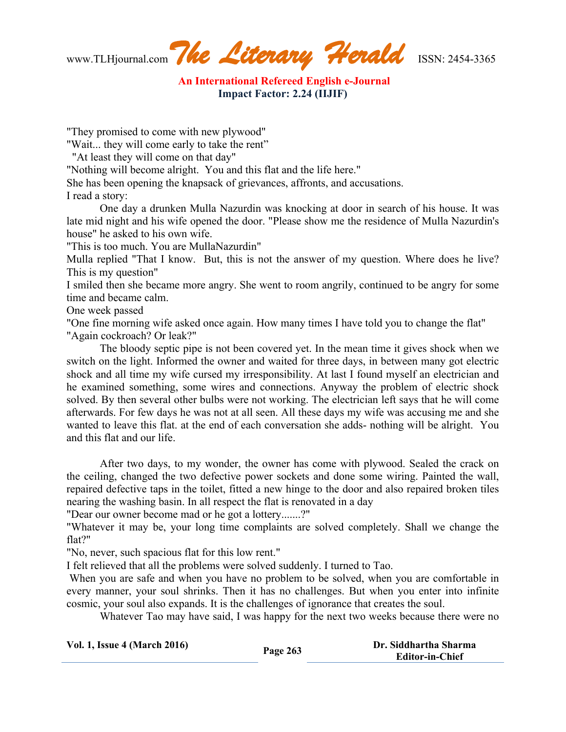www.TLHjournal.com*The Literary Herald*ISSN: 2454-3365

**An International Refereed English e-Journal Impact Factor: 2.24 (IIJIF)**

"They promised to come with new plywood"

"Wait... they will come early to take the rent"

"At least they will come on that day"

"Nothing will become alright. You and this flat and the life here."

She has been opening the knapsack of grievances, affronts, and accusations.

I read a story:

One day a drunken Mulla Nazurdin was knocking at door in search of his house. It was late mid night and his wife opened the door. "Please show me the residence of Mulla Nazurdin's house" he asked to his own wife.

"This is too much. You are MullaNazurdin"

Mulla replied "That I know. But, this is not the answer of my question. Where does he live? This is my question"

I smiled then she became more angry. She went to room angrily, continued to be angry for some time and became calm.

One week passed

"One fine morning wife asked once again. How many times I have told you to change the flat" "Again cockroach? Or leak?"

The bloody septic pipe is not been covered yet. In the mean time it gives shock when we switch on the light. Informed the owner and waited for three days, in between many got electric shock and all time my wife cursed my irresponsibility. At last I found myself an electrician and he examined something, some wires and connections. Anyway the problem of electric shock solved. By then several other bulbs were not working. The electrician left says that he will come afterwards. For few days he was not at all seen. All these days my wife was accusing me and she wanted to leave this flat. at the end of each conversation she adds- nothing will be alright. You and this flat and our life.

After two days, to my wonder, the owner has come with plywood. Sealed the crack on the ceiling, changed the two defective power sockets and done some wiring. Painted the wall, repaired defective taps in the toilet, fitted a new hinge to the door and also repaired broken tiles nearing the washing basin. In all respect the flat is renovated in a day

"Dear our owner become mad or he got a lottery.......?"

"Whatever it may be, your long time complaints are solved completely. Shall we change the flat?"

"No, never, such spacious flat for this low rent."

I felt relieved that all the problems were solved suddenly. I turned to Tao.

When you are safe and when you have no problem to be solved, when you are comfortable in every manner, your soul shrinks. Then it has no challenges. But when you enter into infinite cosmic, your soul also expands. It is the challenges of ignorance that creates the soul.

Whatever Tao may have said, I was happy for the next two weeks because there were no

| <b>Vol. 1, Issue 4 (March 2016)</b> | Page 263 | Dr. Siddhartha Sharma  |
|-------------------------------------|----------|------------------------|
|                                     |          | <b>Editor-in-Chief</b> |